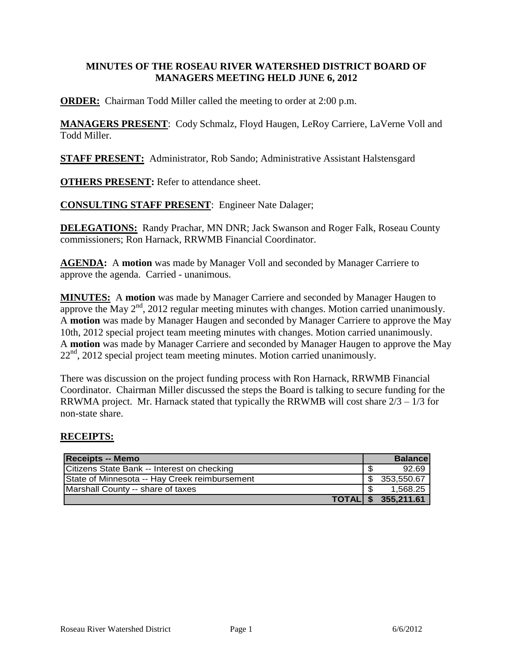#### **MINUTES OF THE ROSEAU RIVER WATERSHED DISTRICT BOARD OF MANAGERS MEETING HELD JUNE 6, 2012**

**ORDER:** Chairman Todd Miller called the meeting to order at 2:00 p.m.

**MANAGERS PRESENT**: Cody Schmalz, Floyd Haugen, LeRoy Carriere, LaVerne Voll and Todd Miller.

**STAFF PRESENT:** Administrator, Rob Sando; Administrative Assistant Halstensgard

**OTHERS PRESENT:** Refer to attendance sheet.

**CONSULTING STAFF PRESENT**: Engineer Nate Dalager;

**DELEGATIONS:** Randy Prachar, MN DNR; Jack Swanson and Roger Falk, Roseau County commissioners; Ron Harnack, RRWMB Financial Coordinator.

**AGENDA:** A **motion** was made by Manager Voll and seconded by Manager Carriere to approve the agenda. Carried - unanimous.

**MINUTES:** A **motion** was made by Manager Carriere and seconded by Manager Haugen to approve the May  $2<sup>nd</sup>$ , 2012 regular meeting minutes with changes. Motion carried unanimously. A **motion** was made by Manager Haugen and seconded by Manager Carriere to approve the May 10th, 2012 special project team meeting minutes with changes. Motion carried unanimously. A **motion** was made by Manager Carriere and seconded by Manager Haugen to approve the May  $22<sup>nd</sup>$ , 2012 special project team meeting minutes. Motion carried unanimously.

There was discussion on the project funding process with Ron Harnack, RRWMB Financial Coordinator. Chairman Miller discussed the steps the Board is talking to secure funding for the RRWMA project. Mr. Harnack stated that typically the RRWMB will cost share  $2/3 - 1/3$  for non-state share.

#### **RECEIPTS:**

| <b>Receipts -- Memo</b>                       | <b>Balance</b>   |
|-----------------------------------------------|------------------|
| Citizens State Bank -- Interest on checking   | 92.69            |
| State of Minnesota -- Hay Creek reimbursement | 353.550.67       |
| Marshall County -- share of taxes             | 1.568.25         |
| <b>TOTALI</b>                                 | \$<br>355,211.61 |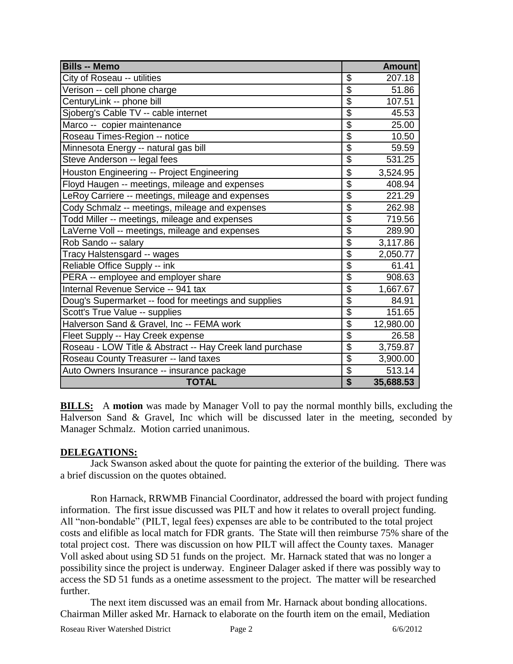| <b>Bills -- Memo</b>                                     |                           | <b>Amount</b> |
|----------------------------------------------------------|---------------------------|---------------|
| City of Roseau -- utilities                              | \$                        | 207.18        |
| Verison -- cell phone charge                             | $\overline{\$}$           | 51.86         |
| CenturyLink -- phone bill                                | $\overline{\mathcal{G}}$  | 107.51        |
| Sjoberg's Cable TV -- cable internet                     | \$                        | 45.53         |
| Marco -- copier maintenance                              | $\overline{\mathcal{G}}$  | 25.00         |
| Roseau Times-Region -- notice                            | $\overline{\$}$           | 10.50         |
| Minnesota Energy -- natural gas bill                     | $\overline{\$}$           | 59.59         |
| Steve Anderson -- legal fees                             | $\overline{\$}$           | 531.25        |
| Houston Engineering -- Project Engineering               | \$                        | 3,524.95      |
| Floyd Haugen -- meetings, mileage and expenses           | $\overline{\$}$           | 408.94        |
| LeRoy Carriere -- meetings, mileage and expenses         | $\overline{\$}$           | 221.29        |
| Cody Schmalz -- meetings, mileage and expenses           | $\overline{\$}$           | 262.98        |
| Todd Miller -- meetings, mileage and expenses            | \$                        | 719.56        |
| LaVerne Voll -- meetings, mileage and expenses           | $\overline{\$}$           | 289.90        |
| Rob Sando -- salary                                      | $\overline{\$}$           | 3,117.86      |
| Tracy Halstensgard -- wages                              | $\overline{\$}$           | 2,050.77      |
| Reliable Office Supply -- ink                            | $\overline{\$}$           | 61.41         |
| PERA -- employee and employer share                      | $\overline{\$}$           | 908.63        |
| Internal Revenue Service -- 941 tax                      | $\overline{\mathcal{G}}$  | 1,667.67      |
| Doug's Supermarket -- food for meetings and supplies     | $\overline{\mathfrak{s}}$ | 84.91         |
| Scott's True Value -- supplies                           | $\overline{\mathfrak{s}}$ | 151.65        |
| Halverson Sand & Gravel, Inc -- FEMA work                | $\overline{\$}$           | 12,980.00     |
| Fleet Supply -- Hay Creek expense                        | $\frac{1}{2}$             | 26.58         |
| Roseau - LOW Title & Abstract -- Hay Creek land purchase | $\overline{\$}$           | 3,759.87      |
| Roseau County Treasurer -- land taxes                    | \$                        | 3,900.00      |
| Auto Owners Insurance -- insurance package               | $\overline{\mathbf{S}}$   | 513.14        |
| <b>TOTAL</b>                                             | $\overline{\$}$           | 35,688.53     |

**BILLS:** A **motion** was made by Manager Voll to pay the normal monthly bills, excluding the Halverson Sand & Gravel, Inc which will be discussed later in the meeting, seconded by Manager Schmalz. Motion carried unanimous.

## **DELEGATIONS:**

Jack Swanson asked about the quote for painting the exterior of the building. There was a brief discussion on the quotes obtained.

Ron Harnack, RRWMB Financial Coordinator, addressed the board with project funding information. The first issue discussed was PILT and how it relates to overall project funding. All "non-bondable" (PILT, legal fees) expenses are able to be contributed to the total project costs and elifible as local match for FDR grants. The State will then reimburse 75% share of the total project cost. There was discussion on how PILT will affect the County taxes. Manager Voll asked about using SD 51 funds on the project. Mr. Harnack stated that was no longer a possibility since the project is underway. Engineer Dalager asked if there was possibly way to access the SD 51 funds as a onetime assessment to the project. The matter will be researched further.

The next item discussed was an email from Mr. Harnack about bonding allocations. Chairman Miller asked Mr. Harnack to elaborate on the fourth item on the email, Mediation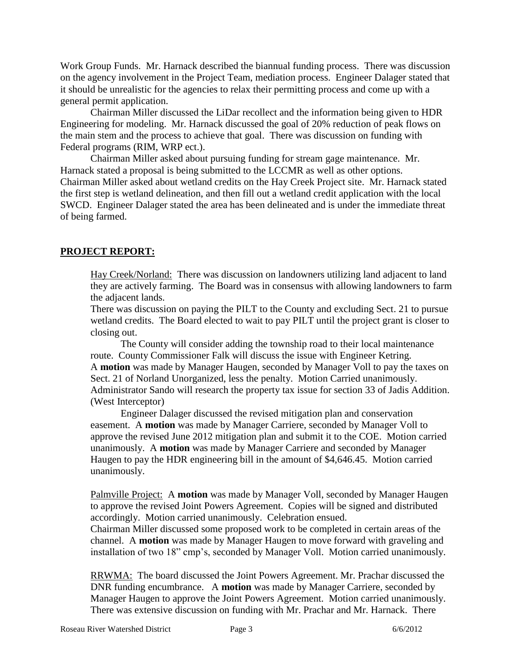Work Group Funds. Mr. Harnack described the biannual funding process. There was discussion on the agency involvement in the Project Team, mediation process. Engineer Dalager stated that it should be unrealistic for the agencies to relax their permitting process and come up with a general permit application.

Chairman Miller discussed the LiDar recollect and the information being given to HDR Engineering for modeling. Mr. Harnack discussed the goal of 20% reduction of peak flows on the main stem and the process to achieve that goal. There was discussion on funding with Federal programs (RIM, WRP ect.).

Chairman Miller asked about pursuing funding for stream gage maintenance. Mr. Harnack stated a proposal is being submitted to the LCCMR as well as other options. Chairman Miller asked about wetland credits on the Hay Creek Project site. Mr. Harnack stated the first step is wetland delineation, and then fill out a wetland credit application with the local SWCD. Engineer Dalager stated the area has been delineated and is under the immediate threat of being farmed.

# **PROJECT REPORT:**

Hay Creek/Norland: There was discussion on landowners utilizing land adjacent to land they are actively farming. The Board was in consensus with allowing landowners to farm the adjacent lands.

There was discussion on paying the PILT to the County and excluding Sect. 21 to pursue wetland credits. The Board elected to wait to pay PILT until the project grant is closer to closing out.

The County will consider adding the township road to their local maintenance route. County Commissioner Falk will discuss the issue with Engineer Ketring. A **motion** was made by Manager Haugen, seconded by Manager Voll to pay the taxes on Sect. 21 of Norland Unorganized, less the penalty. Motion Carried unanimously. Administrator Sando will research the property tax issue for section 33 of Jadis Addition. (West Interceptor)

Engineer Dalager discussed the revised mitigation plan and conservation easement. A **motion** was made by Manager Carriere, seconded by Manager Voll to approve the revised June 2012 mitigation plan and submit it to the COE. Motion carried unanimously. A **motion** was made by Manager Carriere and seconded by Manager Haugen to pay the HDR engineering bill in the amount of \$4,646.45. Motion carried unanimously.

Palmville Project: A **motion** was made by Manager Voll, seconded by Manager Haugen to approve the revised Joint Powers Agreement. Copies will be signed and distributed accordingly. Motion carried unanimously. Celebration ensued.

Chairman Miller discussed some proposed work to be completed in certain areas of the channel. A **motion** was made by Manager Haugen to move forward with graveling and installation of two 18" cmp's, seconded by Manager Voll. Motion carried unanimously.

RRWMA: The board discussed the Joint Powers Agreement. Mr. Prachar discussed the DNR funding encumbrance. A **motion** was made by Manager Carriere, seconded by Manager Haugen to approve the Joint Powers Agreement. Motion carried unanimously. There was extensive discussion on funding with Mr. Prachar and Mr. Harnack. There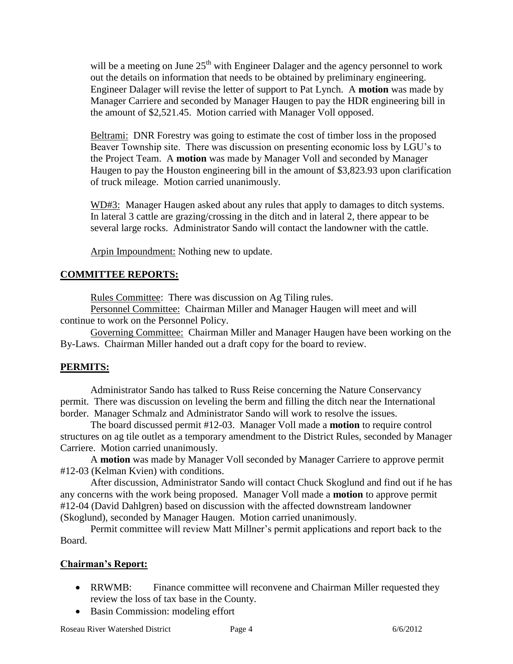will be a meeting on June  $25<sup>th</sup>$  with Engineer Dalager and the agency personnel to work out the details on information that needs to be obtained by preliminary engineering. Engineer Dalager will revise the letter of support to Pat Lynch. A **motion** was made by Manager Carriere and seconded by Manager Haugen to pay the HDR engineering bill in the amount of \$2,521.45. Motion carried with Manager Voll opposed.

Beltrami: DNR Forestry was going to estimate the cost of timber loss in the proposed Beaver Township site. There was discussion on presenting economic loss by LGU's to the Project Team. A **motion** was made by Manager Voll and seconded by Manager Haugen to pay the Houston engineering bill in the amount of \$3,823.93 upon clarification of truck mileage. Motion carried unanimously.

WD#3: Manager Haugen asked about any rules that apply to damages to ditch systems. In lateral 3 cattle are grazing/crossing in the ditch and in lateral 2, there appear to be several large rocks. Administrator Sando will contact the landowner with the cattle.

Arpin Impoundment: Nothing new to update.

# **COMMITTEE REPORTS:**

Rules Committee: There was discussion on Ag Tiling rules.

Personnel Committee: Chairman Miller and Manager Haugen will meet and will continue to work on the Personnel Policy.

Governing Committee: Chairman Miller and Manager Haugen have been working on the By-Laws. Chairman Miller handed out a draft copy for the board to review.

## **PERMITS:**

Administrator Sando has talked to Russ Reise concerning the Nature Conservancy permit. There was discussion on leveling the berm and filling the ditch near the International border. Manager Schmalz and Administrator Sando will work to resolve the issues.

The board discussed permit #12-03. Manager Voll made a **motion** to require control structures on ag tile outlet as a temporary amendment to the District Rules, seconded by Manager Carriere. Motion carried unanimously.

A **motion** was made by Manager Voll seconded by Manager Carriere to approve permit #12-03 (Kelman Kvien) with conditions.

After discussion, Administrator Sando will contact Chuck Skoglund and find out if he has any concerns with the work being proposed. Manager Voll made a **motion** to approve permit #12-04 (David Dahlgren) based on discussion with the affected downstream landowner (Skoglund), seconded by Manager Haugen. Motion carried unanimously.

Permit committee will review Matt Millner's permit applications and report back to the Board.

## **Chairman's Report:**

- RRWMB: Finance committee will reconvene and Chairman Miller requested they review the loss of tax base in the County.
- Basin Commission: modeling effort